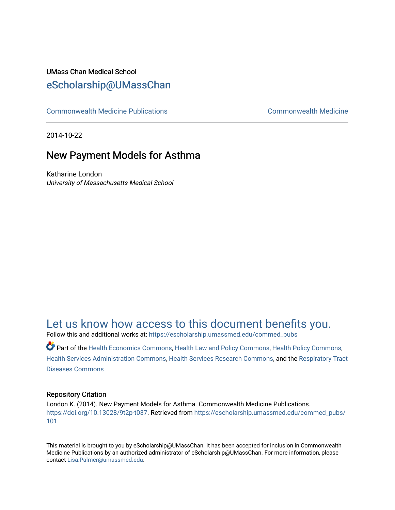#### UMass Chan Medical School [eScholarship@UMassChan](https://escholarship.umassmed.edu/)

[Commonwealth Medicine Publications](https://escholarship.umassmed.edu/commed_pubs) [Commonwealth Medicine](https://escholarship.umassmed.edu/commed) 

2014-10-22

#### New Payment Models for Asthma

Katharine London University of Massachusetts Medical School

#### [Let us know how access to this document benefits you.](https://arcsapps.umassmed.edu/redcap/surveys/?s=XWRHNF9EJE)

Follow this and additional works at: [https://escholarship.umassmed.edu/commed\\_pubs](https://escholarship.umassmed.edu/commed_pubs?utm_source=escholarship.umassmed.edu%2Fcommed_pubs%2F101&utm_medium=PDF&utm_campaign=PDFCoverPages)

Part of the [Health Economics Commons,](http://network.bepress.com/hgg/discipline/1085?utm_source=escholarship.umassmed.edu%2Fcommed_pubs%2F101&utm_medium=PDF&utm_campaign=PDFCoverPages) [Health Law and Policy Commons,](http://network.bepress.com/hgg/discipline/901?utm_source=escholarship.umassmed.edu%2Fcommed_pubs%2F101&utm_medium=PDF&utm_campaign=PDFCoverPages) [Health Policy Commons](http://network.bepress.com/hgg/discipline/395?utm_source=escholarship.umassmed.edu%2Fcommed_pubs%2F101&utm_medium=PDF&utm_campaign=PDFCoverPages), [Health Services Administration Commons,](http://network.bepress.com/hgg/discipline/747?utm_source=escholarship.umassmed.edu%2Fcommed_pubs%2F101&utm_medium=PDF&utm_campaign=PDFCoverPages) [Health Services Research Commons,](http://network.bepress.com/hgg/discipline/816?utm_source=escholarship.umassmed.edu%2Fcommed_pubs%2F101&utm_medium=PDF&utm_campaign=PDFCoverPages) and the [Respiratory Tract](http://network.bepress.com/hgg/discipline/990?utm_source=escholarship.umassmed.edu%2Fcommed_pubs%2F101&utm_medium=PDF&utm_campaign=PDFCoverPages) [Diseases Commons](http://network.bepress.com/hgg/discipline/990?utm_source=escholarship.umassmed.edu%2Fcommed_pubs%2F101&utm_medium=PDF&utm_campaign=PDFCoverPages) 

#### Repository Citation

London K. (2014). New Payment Models for Asthma. Commonwealth Medicine Publications. [https://doi.org/10.13028/9t2p-t037.](https://doi.org/10.13028/9t2p-t037) Retrieved from [https://escholarship.umassmed.edu/commed\\_pubs/](https://escholarship.umassmed.edu/commed_pubs/101?utm_source=escholarship.umassmed.edu%2Fcommed_pubs%2F101&utm_medium=PDF&utm_campaign=PDFCoverPages) [101](https://escholarship.umassmed.edu/commed_pubs/101?utm_source=escholarship.umassmed.edu%2Fcommed_pubs%2F101&utm_medium=PDF&utm_campaign=PDFCoverPages) 

This material is brought to you by eScholarship@UMassChan. It has been accepted for inclusion in Commonwealth Medicine Publications by an authorized administrator of eScholarship@UMassChan. For more information, please contact [Lisa.Palmer@umassmed.edu.](mailto:Lisa.Palmer@umassmed.edu)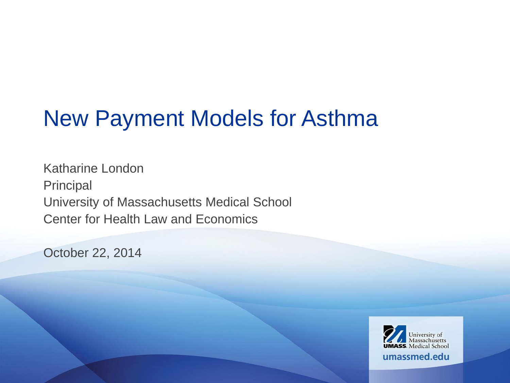## New Payment Models for Asthma

Katharine London Principal University of Massachusetts Medical School Center for Health Law and Economics

October 22, 2014

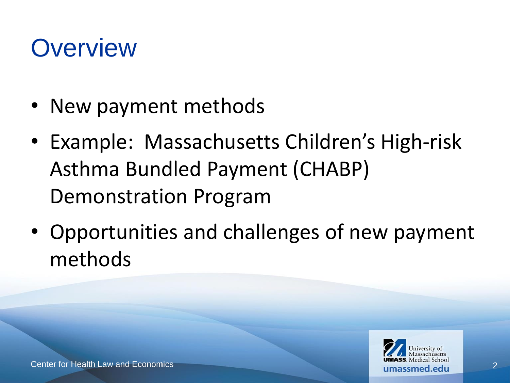## **Overview**

- New payment methods
- Example: Massachusetts Children's High-risk Asthma Bundled Payment (CHABP) Demonstration Program
- Opportunities and challenges of new payment methods

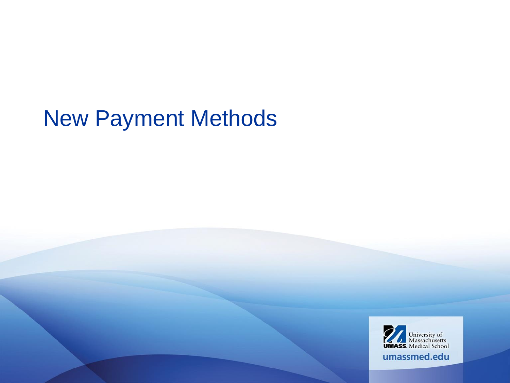## New Payment Methods

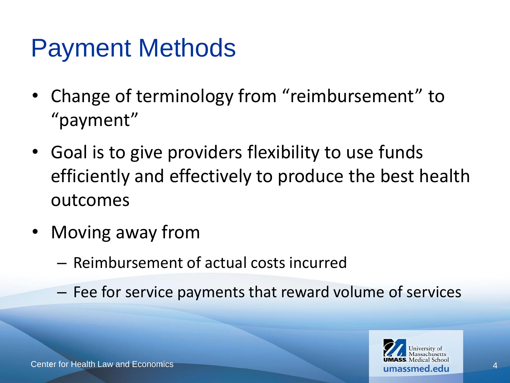## Payment Methods

- Change of terminology from "reimbursement" to "payment"
- Goal is to give providers flexibility to use funds efficiently and effectively to produce the best health outcomes
- Moving away from
	- Reimbursement of actual costs incurred
	- Fee for service payments that reward volume of services

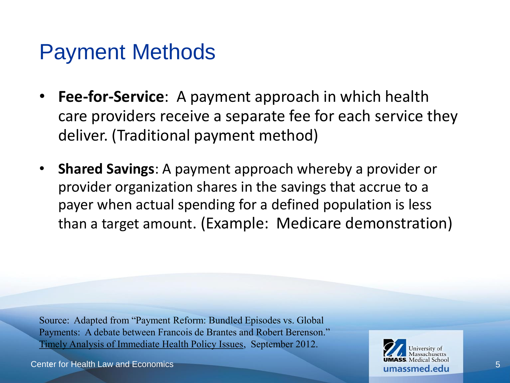### Payment Methods

- **Fee-for-Service**: A payment approach in which health care providers receive a separate fee for each service they deliver. (Traditional payment method)
- **Shared Savings**: A payment approach whereby a provider or provider organization shares in the savings that accrue to a payer when actual spending for a defined population is less than a target amount. (Example: Medicare demonstration)

Source: Adapted from "Payment Reform: Bundled Episodes vs. Global Payments: A debate between Francois de Brantes and Robert Berenson." Timely Analysis of Immediate Health Policy Issues, September 2012.

Center for Health Law and Economics

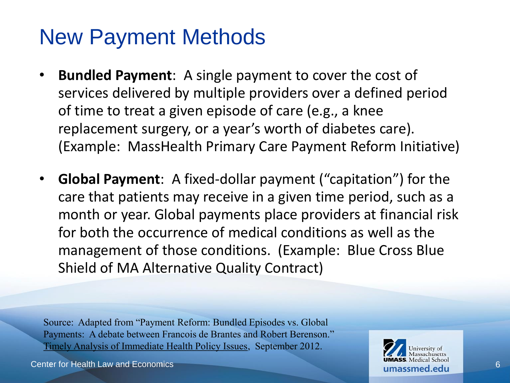## New Payment Methods

- **Bundled Payment**: A single payment to cover the cost of services delivered by multiple providers over a defined period of time to treat a given episode of care (e.g., a knee replacement surgery, or a year's worth of diabetes care). (Example: MassHealth Primary Care Payment Reform Initiative)
- **Global Payment**: A fixed-dollar payment ("capitation") for the care that patients may receive in a given time period, such as a month or year. Global payments place providers at financial risk for both the occurrence of medical conditions as well as the management of those conditions. (Example: Blue Cross Blue Shield of MA Alternative Quality Contract)

Source: Adapted from "Payment Reform: Bundled Episodes vs. Global Payments: A debate between Francois de Brantes and Robert Berenson." Timely Analysis of Immediate Health Policy Issues, September 2012.

Center for Health Law and Economics

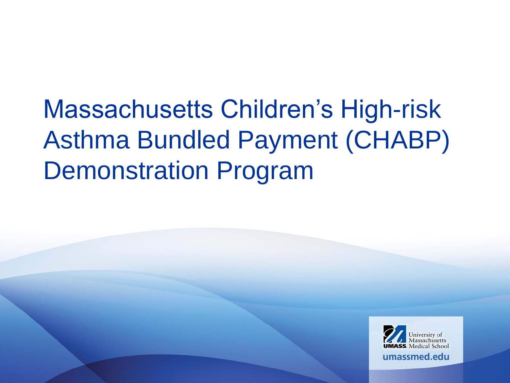# Massachusetts Children's High-risk Asthma Bundled Payment (CHABP) Demonstration Program

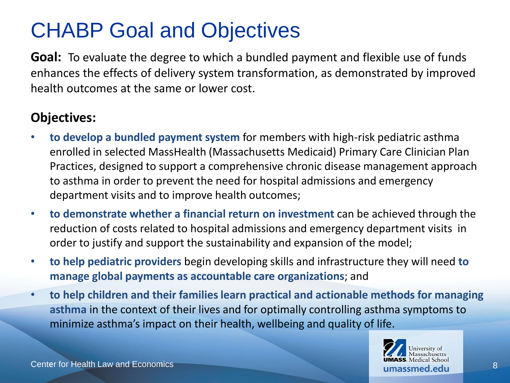### CHABP Goal and Objectives

**Goal:** To evaluate the degree to which a bundled payment and flexible use of funds enhances the effects of delivery system transformation, as demonstrated by improved health outcomes at the same or lower cost.

### **Objectives:**

- **to develop a bundled payment system** for members with high-risk pediatric asthma enrolled in selected MassHealth (Massachusetts Medicaid) Primary Care Clinician Plan Practices, designed to support a comprehensive chronic disease management approach to asthma in order to prevent the need for hospital admissions and emergency department visits and to improve health outcomes;
- **to demonstrate whether a financial return on investment** can be achieved through the reduction of costs related to hospital admissions and emergency department visits in order to justify and support the sustainability and expansion of the model;
- **to help pediatric providers** begin developing skills and infrastructure they will need **to manage global payments as accountable care organizations**; and
- **to help children and their families learn practical and actionable methods for managing asthma** in the context of their lives and for optimally controlling asthma symptoms to minimize asthma's impact on their health, wellbeing and quality of life.

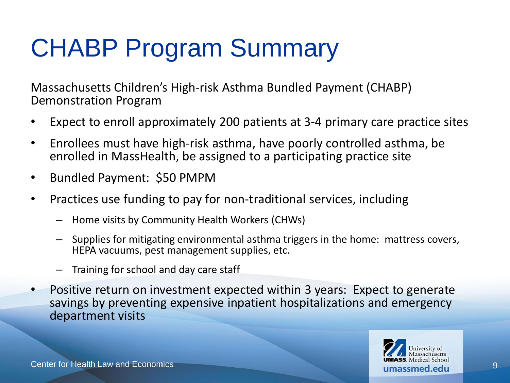# CHABP Program Summary

Massachusetts Children's High-risk Asthma Bundled Payment (CHABP) Demonstration Program

- Expect to enroll approximately 200 patients at 3-4 primary care practice sites
- Enrollees must have high-risk asthma, have poorly controlled asthma, be enrolled in MassHealth, be assigned to a participating practice site
- Bundled Payment: \$50 PMPM
- Practices use funding to pay for non-traditional services, including
	- Home visits by Community Health Workers (CHWs)
	- Supplies for mitigating environmental asthma triggers in the home: mattress covers, HEPA vacuums, pest management supplies, etc.
	- Training for school and day care staff
- Positive return on investment expected within 3 years: Expect to generate savings by preventing expensive inpatient hospitalizations and emergency department visits

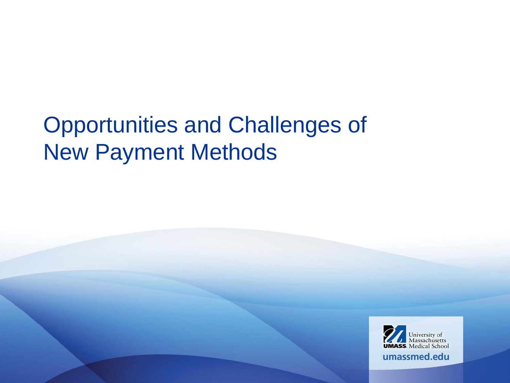## Opportunities and Challenges of New Payment Methods

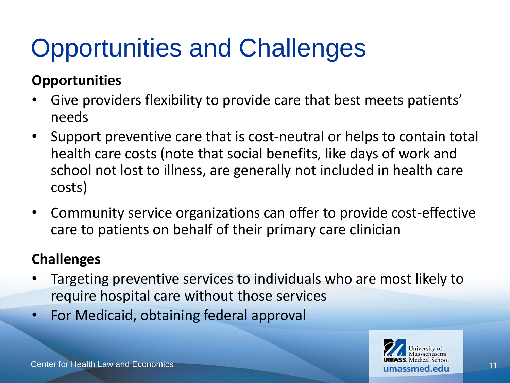# Opportunities and Challenges

### **Opportunities**

- Give providers flexibility to provide care that best meets patients' needs
- Support preventive care that is cost-neutral or helps to contain total health care costs (note that social benefits, like days of work and school not lost to illness, are generally not included in health care costs)
- Community service organizations can offer to provide cost-effective care to patients on behalf of their primary care clinician

### **Challenges**

- Targeting preventive services to individuals who are most likely to require hospital care without those services
- For Medicaid, obtaining federal approval

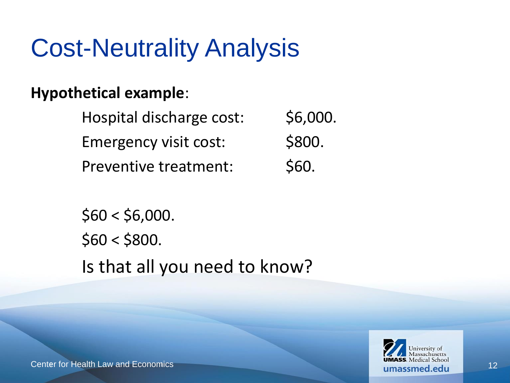## Cost-Neutrality Analysis

### **Hypothetical example**:

Hospital discharge cost: \$6,000. Emergency visit cost: \$800. Preventive treatment: \$60.

 $$60 < $6,000$ .  $$60 < $800$ . Is that all you need to know?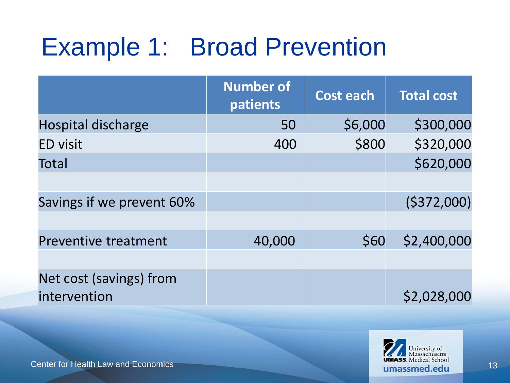# Example 1: Broad Prevention

|                                         | <b>Number of</b><br>patients | <b>Cost each</b> | <b>Total cost</b> |
|-----------------------------------------|------------------------------|------------------|-------------------|
| <b>Hospital discharge</b>               | 50                           | \$6,000          | \$300,000         |
| <b>ED visit</b>                         | 400                          | \$800            | \$320,000         |
| Total                                   |                              |                  | \$620,000         |
| Savings if we prevent 60%               |                              |                  | (5372,000)        |
| <b>Preventive treatment</b>             | 40,000                       | \$60             | \$2,400,000       |
| Net cost (savings) from<br>intervention |                              |                  | \$2,028,000       |

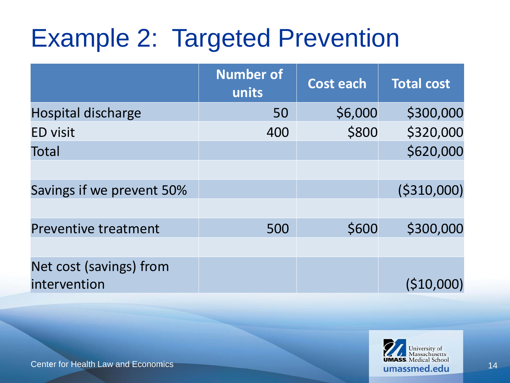## Example 2: Targeted Prevention

|                             | <b>Number of</b><br>units | <b>Cost each</b> | <b>Total cost</b> |
|-----------------------------|---------------------------|------------------|-------------------|
| <b>Hospital discharge</b>   | 50                        | \$6,000          | \$300,000         |
| <b>ED visit</b>             | 400                       | \$800            | \$320,000         |
| Total                       |                           |                  | \$620,000         |
|                             |                           |                  |                   |
| Savings if we prevent 50%   |                           |                  | ( \$310,000]      |
|                             |                           |                  |                   |
| <b>Preventive treatment</b> | 500                       | \$600            | \$300,000         |
|                             |                           |                  |                   |
| Net cost (savings) from     |                           |                  |                   |
| intervention                |                           |                  | $($ \$10,000)     |